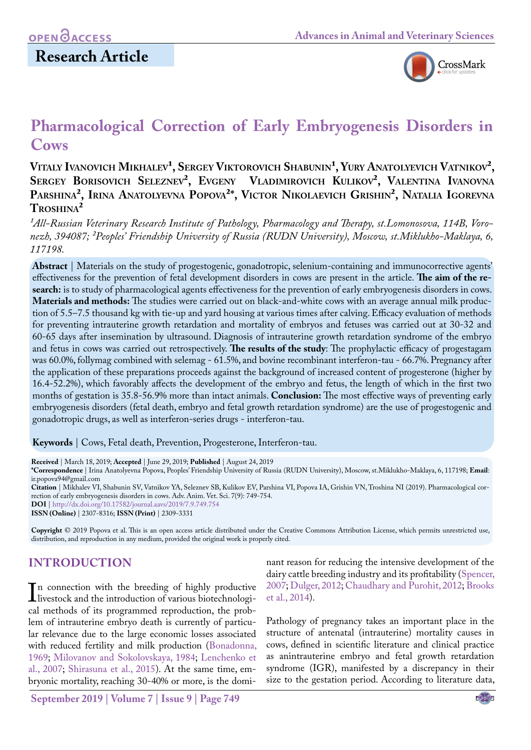## **Research Article**



# **Pharmacological Correction of Early Embryogenesis Disorders in Cows**

Vitaly Ivanovich Mikhalev<sup>1</sup>, Sergey Viktorovich Shabunin<sup>1</sup>, Yury Anatolyevich Vatnikov<sup>2</sup>, **Sergey Borisovich Seleznev², Evgeny Vladimirovich Kulikov², Valentina Ivanovna Parshina², Irina Anatolyevna Popova²\*, Victor Nikolaevich Grishin², Natalia Igorevna Troshina²**

<sup>1</sup>All-Russian Veterinary Research Institute of Pathology, Pharmacology and Therapy, st.Lomonosova, 114B, Voro*nezh, 394087; ²Peoples' Friendship University of Russia (RUDN University), Moscow, st.Miklukho-Maklaya, 6, 117198.*

**Abstract** | Materials on the study of progestogenic, gonadotropic, selenium-containing and immunocorrective agents' effectiveness for the prevention of fetal development disorders in cows are present in the article. **The aim of the research:** is to study of pharmacological agents effectiveness for the prevention of early embryogenesis disorders in cows. **Materials and methods:** The studies were carried out on black-and-white cows with an average annual milk production of 5.5–7.5 thousand kg with tie-up and yard housing at various times after calving. Efficacy evaluation of methods for preventing intrauterine growth retardation and mortality of embryos and fetuses was carried out at 30-32 and 60-65 days after insemination by ultrasound. Diagnosis of intrauterine growth retardation syndrome of the embryo and fetus in cows was carried out retrospectively. **The results of the study**: The prophylactic efficacy of progestagam was 60.0%, follymag combined with selemag - 61.5%, and bovine recombinant interferon-tau - 66.7%. Pregnancy after the application of these preparations proceeds against the background of increased content of progesterone (higher by 16.4-52.2%), which favorably affects the development of the embryo and fetus, the length of which in the first two months of gestation is 35.8-56.9% more than intact animals. **Conclusion:** The most effective ways of preventing early embryogenesis disorders (fetal death, embryo and fetal growth retardation syndrome) are the use of progestogenic and gonadotropic drugs, as well as interferon-series drugs - interferon-tau.

**Keywords** | Cows, Fetal death, Prevention, Progesterone, Interferon-tau.

**Received** | March 18, 2019; **Accepted** | June 29, 2019; **Published** | August 24, 2019

**\*Correspondence** | Irina Anatolyevna Popova, Peoples' Friendship University of Russia (RUDN University), Moscow, st.Miklukho-Maklaya, 6, 117198; **Email**: ir.popova94@gmail.com

**Citation** | Mikhalev VI, Shabunin SV, Vatnikov YA, Seleznev SB, Kulikov EV, Parshina VI, Popova IA, Grishin VN, Troshina NI (2019). Pharmacological correction of early embryogenesis disorders in cows. Adv. Anim. Vet. Sci. 7(9): 749-754.

**DOI** | [http://dx.doi.org/10.17582/journal.aavs/2019](http://dx.doi.org/10.17582/journal.aavs/2019/7.9.749.754)/7.9.749.754

**ISSN (Online)** | 2307-8316; **ISSN (Print)** | 2309-3331

**Copyright** © 2019 Popova et al. This is an open access article distributed under the Creative Commons Attribution License, which permits unrestricted use, distribution, and reproduction in any medium, provided the original work is properly cited.

## **Introduction**

In connection with the breeding of highly productive<br>livestock and the introduction of various biotechnologi-<br>cal methods of its programmed reproduction, the problivestock and the introduction of various biotechnological methods of its programmed reproduction, the problem of intrauterine embryo death is currently of particular relevance due to the large economic losses associated with reduced fertility and milk production ([Bonadonna,](#page-5-0) [1969;](#page-5-0) [Milovanov and Sokolovskaya, 1984;](#page-5-1) [Lenchenko et](#page-5-2) [al., 2007](#page-5-2); [Shirasuna et al., 2015](#page-5-3)). At the same time, embryonic mortality, reaching 30-40% or more, is the dominant reason for reducing the intensive development of the dairy cattle breeding industry and its profitability [\(Spencer,](#page-5-4) [2007;](#page-5-4) [Dulger, 2012;](#page-5-5) [Chaudhary and Purohit, 2012](#page-5-6); [Brooks](#page-5-7) [et al., 2014\)](#page-5-7).

Pathology of pregnancy takes an important place in the structure of antenatal (intrauterine) mortality causes in cows, defined in scientific literature and clinical practice as anintrauterine embryo and fetal growth retardation syndrome (IGR), manifested by a discrepancy in their size to the gestation period. According to literature data,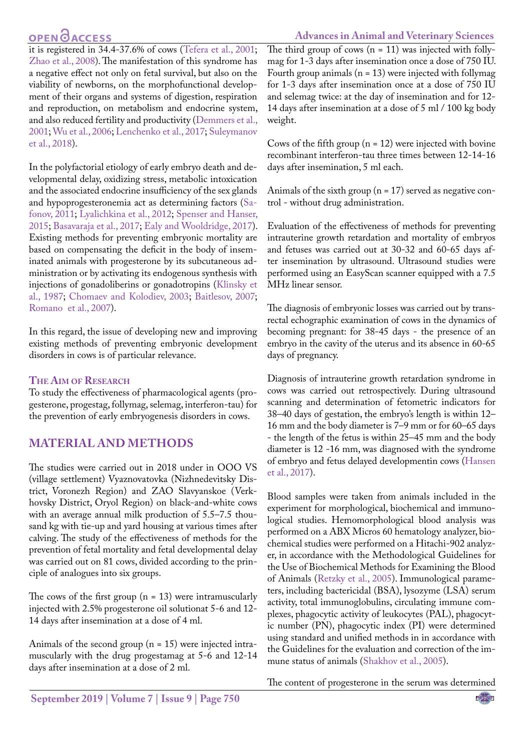## **OPEN**<sub>d</sub>

#### **Advances in Animal and Veterinary Sciences**

it is registered in 34.4-37.6% of cows ([Tefera et al., 2001;](#page-5-8) [Zhao et al., 2008\)](#page-5-9). The manifestation of this syndrome has a negative effect not only on fetal survival, but also on the viability of newborns, on the morphofunctional development of their organs and systems of digestion, respiration and reproduction, on metabolism and endocrine system, and also reduced fertility and productivity ([Demmers et al.,](#page-5-10) [2001](#page-5-10); [Wu et al., 2006](#page-5-11); [Lenchenko et al., 2017;](#page-5-12) [Suleymanov](#page-5-13) [et al., 2018\)](#page-5-13).

In the polyfactorial etiology of early embryo death and developmental delay, oxidizing stress, metabolic intoxication and the associated endocrine insufficiency of the sex glands and hypoprogesteronemia act as determining factors [\(Sa](#page-5-14)[fonov, 2011;](#page-5-14) [Lyalichkina et al., 2012](#page-5-15); [Spenser and Hanser,](#page-5-16) [2015](#page-5-16); [Basavaraja et al., 2017](#page-5-17); [Ealy and Wooldridge, 2017\)](#page-5-18). Existing methods for preventing embryonic mortality are based on compensating the deficit in the body of inseminated animals with progesterone by its subcutaneous administration or by activating its endogenous synthesis with injections of gonadoliberins or gonadotropins ([Klinsky et](#page-5-19) [al., 1987;](#page-5-19) Chomaev and Kolodiev, 2003; [Baitlesov, 2007;](#page-5-20) [Romano et al., 2007](#page-5-21)).

In this regard, the issue of developing new and improving existing methods of preventing embryonic development disorders in cows is of particular relevance.

#### **The Aim of Research**

To study the effectiveness of pharmacological agents (progesterone, progestag, follymag, selemag, interferon-tau) for the prevention of early embryogenesis disorders in cows.

### **Material and methods**

The studies were carried out in 2018 under in OOO VS (village settlement) Vyaznovatovka (Nizhnedevitsky District, Voronezh Region) and ZAO Slavyanskoe (Verkhovsky District, Oryol Region) on black-and-white cows with an average annual milk production of 5.5–7.5 thousand kg with tie-up and yard housing at various times after calving. The study of the effectiveness of methods for the prevention of fetal mortality and fetal developmental delay was carried out on 81 cows, divided according to the principle of analogues into six groups.

The cows of the first group  $(n = 13)$  were intramuscularly injected with 2.5% progesterone oil solutionat 5-6 and 12- 14 days after insemination at a dose of 4 ml.

Animals of the second group  $(n = 15)$  were injected intramuscularly with the drug progestamag at 5-6 and 12-14 days after insemination at a dose of 2 ml.

The third group of cows  $(n = 11)$  was injected with follymag for 1-3 days after insemination once a dose of 750 IU. Fourth group animals ( $n = 13$ ) were injected with follymag for 1-3 days after insemination once at a dose of 750 IU and selemag twice: at the day of insemination and for 12- 14 days after insemination at a dose of 5 ml / 100 kg body weight.

Cows of the fifth group  $(n = 12)$  were injected with bovine recombinant interferon-tau three times between 12-14-16 days after insemination, 5 ml each.

Animals of the sixth group ( $n = 17$ ) served as negative control - without drug administration.

Evaluation of the effectiveness of methods for preventing intrauterine growth retardation and mortality of embryos and fetuses was carried out at 30-32 and 60-65 days after insemination by ultrasound. Ultrasound studies were performed using an EasyScan scanner equipped with a 7.5 MHz linear sensor.

The diagnosis of embryonic losses was carried out by transrectal echographic examination of cows in the dynamics of becoming pregnant: for 38-45 days - the presence of an embryo in the cavity of the uterus and its absence in 60-65 days of pregnancy.

Diagnosis of intrauterine growth retardation syndrome in cows was carried out retrospectively. During ultrasound scanning and determination of fetometric indicators for 38–40 days of gestation, the embryo's length is within 12– 16 mm and the body diameter is 7–9 mm or for 60–65 days - the length of the fetus is within 25–45 mm and the body diameter is 12 -16 mm, was diagnosed with the syndrome of embryo and fetus delayed developmentin cows [\(Hansen](#page-5-22) [et al., 2017](#page-5-22)).

Blood samples were taken from animals included in the experiment for morphological, biochemical and immunological studies. Hemomorphological blood analysis was performed on a ABX Micros 60 hematology analyzer, biochemical studies were performed on a Hitachi-902 analyzer, in accordance with the Methodological Guidelines for the Use of Biochemical Methods for Examining the Blood of Animals [\(Retzky et al., 2005](#page-5-23)). Immunological parameters, including bactericidal (BSA), lysozyme (LSA) serum activity, total immunoglobulins, circulating immune complexes, phagocytic activity of leukocytes (PAL), phagocytic number (PN), phagocytic index (PI) were determined using standard and unified methods in in accordance with the Guidelines for the evaluation and correction of the immune status of animals [\(Shakhov et al., 2005\)](#page-5-24).

The content of progesterone in the serum was determined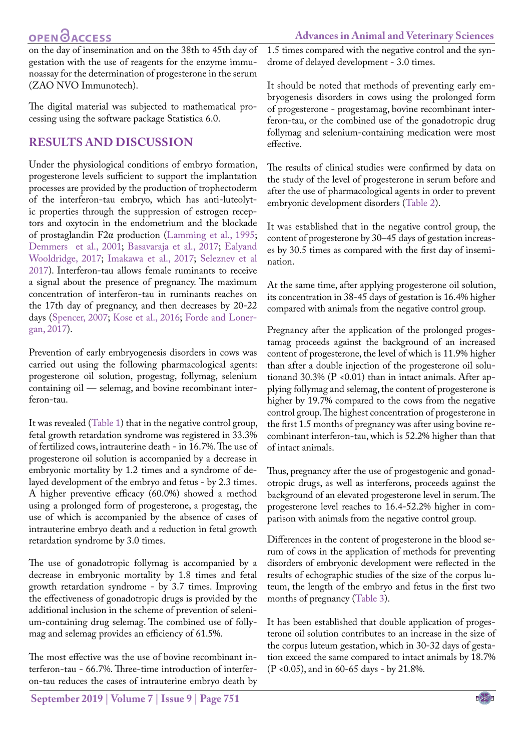## **OPEN GACCESS**

**Advances in Animal and Veterinary Sciences**

on the day of insemination and on the 38th to 45th day of gestation with the use of reagents for the enzyme immunoassay for the determination of progesterone in the serum (ZAO NVO Immunotech).

The digital material was subjected to mathematical processing using the software package Statistica 6.0.

## **Results and discussion**

Under the physiological conditions of embryo formation, progesterone levels sufficient to support the implantation processes are provided by the production of trophectoderm of the interferon-tau embryo, which has anti-luteolytic properties through the suppression of estrogen receptors and oxytocin in the endometrium and the blockade of prostaglandin F2α production [\(Lamming et al., 1995;](#page-5-25) [Demmers et al., 2001](#page-5-10); [Basavaraja et al., 2017](#page-5-17); [Ealyand](#page-5-18) [Wooldridge, 2017;](#page-5-18) [Imakawa et al., 2017](#page-5-26); [Seleznev et al](#page-5-27) [2017](#page-5-27)). Interferon-tau allows female ruminants to receive a signal about the presence of pregnancy. The maximum concentration of interferon-tau in ruminants reaches on the 17th day of pregnancy, and then decreases by 20-22 days ([Spencer, 2007;](#page-5-4) [Kose et al., 2016;](#page-5-28) [Forde and Loner](#page-5-29)[gan, 2017](#page-5-29)).

Prevention of early embryogenesis disorders in cows was carried out using the following pharmacological agents: progesterone oil solution, progestag, follymag, selenium containing oil — selemag, and bovine recombinant interferon-tau.

It was revealed ([Table 1](#page-3-0)) that in the negative control group, fetal growth retardation syndrome was registered in 33.3% of fertilized cows, intrauterine death - in 16.7%. The use of progesterone oil solution is accompanied by a decrease in embryonic mortality by 1.2 times and a syndrome of delayed development of the embryo and fetus - by 2.3 times. A higher preventive efficacy (60.0%) showed a method using a prolonged form of progesterone, a progestag, the use of which is accompanied by the absence of cases of intrauterine embryo death and a reduction in fetal growth retardation syndrome by 3.0 times.

The use of gonadotropic follymag is accompanied by a decrease in embryonic mortality by 1.8 times and fetal growth retardation syndrome - by 3.7 times. Improving the effectiveness of gonadotropic drugs is provided by the additional inclusion in the scheme of prevention of selenium-containing drug selemag. The combined use of follymag and selemag provides an efficiency of 61.5%.

The most effective was the use of bovine recombinant interferon-tau - 66.7%. Three-time introduction of interferon-tau reduces the cases of intrauterine embryo death by 1.5 times compared with the negative control and the syndrome of delayed development - 3.0 times.

It should be noted that methods of preventing early embryogenesis disorders in cows using the prolonged form of progesterone - progestamag, bovine recombinant interferon-tau, or the combined use of the gonadotropic drug follymag and selenium-containing medication were most effective.

The results of clinical studies were confirmed by data on the study of the level of progesterone in serum before and after the use of pharmacological agents in order to prevent embryonic development disorders ([Table 2\)](#page-3-1).

It was established that in the negative control group, the content of progesterone by 30–45 days of gestation increases by 30.5 times as compared with the first day of insemination.

At the same time, after applying progesterone oil solution, its concentration in 38-45 days of gestation is 16.4% higher compared with animals from the negative control group.

Pregnancy after the application of the prolonged progestamag proceeds against the background of an increased content of progesterone, the level of which is 11.9% higher than after a double injection of the progesterone oil solutionand 30.3% ( $P \le 0.01$ ) than in intact animals. After applying follymag and selemag, the content of progesterone is higher by 19.7% compared to the cows from the negative control group. The highest concentration of progesterone in the first 1.5 months of pregnancy was after using bovine recombinant interferon-tau, which is 52.2% higher than that of intact animals.

Thus, pregnancy after the use of progestogenic and gonadotropic drugs, as well as interferons, proceeds against the background of an elevated progesterone level in serum. The progesterone level reaches to 16.4-52.2% higher in comparison with animals from the negative control group.

Differences in the content of progesterone in the blood serum of cows in the application of methods for preventing disorders of embryonic development were reflected in the results of echographic studies of the size of the corpus luteum, the length of the embryo and fetus in the first two months of pregnancy [\(Table 3](#page-3-2)).

It has been established that double application of progesterone oil solution contributes to an increase in the size of the corpus luteum gestation, which in 30-32 days of gestation exceed the same compared to intact animals by 18.7% (P <0.05), and in 60-65 days - by 21.8%.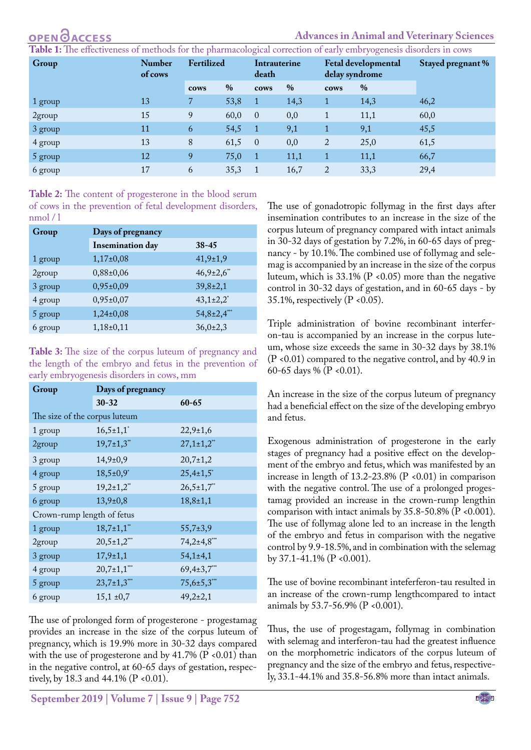#### **Advances in Animal and Veterinary Sciences**

<span id="page-3-0"></span>**ble 1:** The effectiveness of methods for the pharmacological correction of early embryogenesis disorders in cows

| Group     | <b>Number</b><br>of cows | Fertilized |      | Intrauterine<br>death |      | Fetal developmental<br>delay syndrome |      | Stayed pregnant % |  |
|-----------|--------------------------|------------|------|-----------------------|------|---------------------------------------|------|-------------------|--|
|           |                          | cows       | $\%$ | cows                  | $\%$ | cows                                  | $\%$ |                   |  |
| 1 group   | 13                       |            | 53,8 |                       | 14,3 | $\mathbf{1}$                          | 14,3 | 46,2              |  |
| $2$ group | 15                       | 9          | 60,0 | $\overline{0}$        | 0,0  | 1                                     | 11,1 | 60,0              |  |
| 3 group   | 11                       | 6          | 54,5 | $\overline{1}$        | 9,1  | $\mathbf{1}$                          | 9,1  | 45,5              |  |
| 4 group   | 13                       | 8          | 61,5 | $\overline{0}$        | 0,0  | $\overline{2}$                        | 25,0 | 61,5              |  |
| 5 group   | 12                       | 9          | 75,0 | $\mathbf{1}$          | 11,1 | $\mathbf 1$                           | 11,1 | 66,7              |  |
| 6 group   | 17                       | 6          | 35,3 |                       | 16,7 | 2                                     | 33,3 | 29,4              |  |

<span id="page-3-1"></span>**Table 2:** The content of progesterone in the blood serum of cows in the prevention of fetal development disorders, nmol / l

| Group   | Days of pregnancy       |                           |  |  |  |  |
|---------|-------------------------|---------------------------|--|--|--|--|
|         | <b>Insemination</b> day | $38 - 45$                 |  |  |  |  |
| 1 group | $1,17\pm0,08$           | $41,9 \pm 1,9$            |  |  |  |  |
| 2group  | $0,88\pm0,06$           | $46,9{\pm}2,6$            |  |  |  |  |
| 3 group | $0,95\pm0,09$           | $39,8{\pm}2,1$            |  |  |  |  |
| 4 group | $0,95\pm0,07$           | $43,1\pm2,2$ <sup>*</sup> |  |  |  |  |
| 5 group | $1,24\pm0,08$           | $54,8{\pm}2,4^{**}$       |  |  |  |  |
| 6 group | $1,18\pm0,11$           | $36,0{\pm}2,3$            |  |  |  |  |

<span id="page-3-2"></span>**Table 3:** The size of the corpus luteum of pregnancy and the length of the embryo and fetus in the prevention of early embryogenesis disorders in cows, mm

| Group                         | Days of pregnancy           |                            |  |  |  |  |
|-------------------------------|-----------------------------|----------------------------|--|--|--|--|
|                               | $30 - 32$                   | $60 - 65$                  |  |  |  |  |
| The size of the corpus luteum |                             |                            |  |  |  |  |
| 1 group                       | $16,5 \pm 1,1$ <sup>*</sup> | $22,9 \pm 1,6$             |  |  |  |  |
| 2group                        | $19,7{\pm}1,3$ **           | $27,1\pm1,2$ <sup>**</sup> |  |  |  |  |
| 3 group                       | $14,9+0,9$                  | $20,7{\pm}1,2$             |  |  |  |  |
| 4 group                       | $18,5\pm0,9$ <sup>*</sup>   | $25,4\pm1,5$               |  |  |  |  |
| 5 group                       | $19,2{\pm}1,2^*$            | $26,5 \pm 1,7$ **          |  |  |  |  |
| 6 group                       | $13,9+0,8$                  | $18,8{\pm}1,1$             |  |  |  |  |
| Crown-rump length of fetus    |                             |                            |  |  |  |  |
| 1 group                       | $18,7{\pm}1,1"$             | $55,7+3,9$                 |  |  |  |  |
| 2group                        | $20,5 \pm 1,2$ ***          | $74,2{\pm}4,8^{***}$       |  |  |  |  |
| 3 group                       | $17,9 \pm 1,1$              | $54,1 \pm 4,1$             |  |  |  |  |
| 4 group                       | $20,7{\pm}1,1^{***}$        | $69,4\pm3,7$ ***           |  |  |  |  |
| 5 group                       | $23,7{\pm}1,3$ ***          | $75,6 \pm 5,3$ ***         |  |  |  |  |
| 6 group                       | $15,1 \pm 0,7$              | $49,2{\pm}2,1$             |  |  |  |  |

The use of prolonged form of progesterone - progestamag provides an increase in the size of the corpus luteum of pregnancy, which is 19.9% more in 30-32 days compared with the use of progesterone and by 41.7% ( $P$  <0.01) than in the negative control, at 60-65 days of gestation, respectively, by 18.3 and 44.1% (P < 0.01).

**September 2019 | Volume 7 | Issue 9 | Page 752**

The use of gonadotropic follymag in the first days after insemination contributes to an increase in the size of the corpus luteum of pregnancy compared with intact animals in 30-32 days of gestation by 7.2%, in 60-65 days of pregnancy - by 10.1%. The combined use of follymag and selemag is accompanied by an increase in the size of the corpus luteum, which is  $33.1\%$  (P <0.05) more than the negative control in 30-32 days of gestation, and in 60-65 days - by 35.1%, respectively ( $P < 0.05$ ).

Triple administration of bovine recombinant interferon-tau is accompanied by an increase in the corpus luteum, whose size exceeds the same in 30-32 days by 38.1% (P <0.01) compared to the negative control, and by 40.9 in 60-65 days % (P <0.01).

An increase in the size of the corpus luteum of pregnancy had a beneficial effect on the size of the developing embryo and fetus.

Exogenous administration of progesterone in the early stages of pregnancy had a positive effect on the development of the embryo and fetus, which was manifested by an increase in length of  $13.2$ -23.8% (P <0.01) in comparison with the negative control. The use of a prolonged progestamag provided an increase in the crown-rump lengthin comparison with intact animals by  $35.8 - 50.8\%$  (P <0.001). The use of follymag alone led to an increase in the length of the embryo and fetus in comparison with the negative control by 9.9-18.5%, and in combination with the selemag by 37.1-41.1% (P <0.001).

The use of bovine recombinant inteferferon-tau resulted in an increase of the crown-rump lengthcompared to intact animals by 53.7-56.9% (P <0.001).

Thus, the use of progestagam, follymag in combination with selemag and interferon-tau had the greatest influence on the morphometric indicators of the corpus luteum of pregnancy and the size of the embryo and fetus, respectively, 33.1-44.1% and 35.8-56.8% more than intact animals.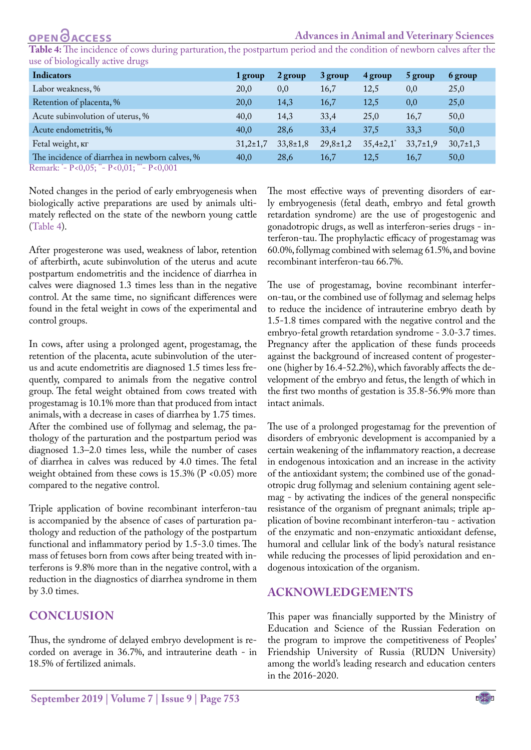<span id="page-4-0"></span>**Table 4:** The incidence of cows during parturation, the postpartum period and the condition of newborn calves after the use of biologically active drugs

| Indicators                                     | 1 group        | 2 group        | 3 group        | 4 group                     | 5 group        | 6 group        |
|------------------------------------------------|----------------|----------------|----------------|-----------------------------|----------------|----------------|
| Labor weakness, %                              | 20,0           | 0,0            | 16,7           | 12,5                        | 0,0            | 25,0           |
| Retention of placenta, %                       | 20,0           | 14,3           | 16,7           | 12,5                        | 0,0            | 25,0           |
| Acute subinvolution of uterus, %               | 40,0           | 14,3           | 33,4           | 25,0                        | 16,7           | 50,0           |
| Acute endometritis, %                          | 40.0           | 28,6           | 33,4           | 37,5                        | 33,3           | 50,0           |
| Fetal weight, Kr                               | $31,2{\pm}1,7$ | $33,8 \pm 1,8$ | $29,8 \pm 1,2$ | $35,4{\pm}2,1$ <sup>*</sup> | $33,7{\pm}1,9$ | $30,7{\pm}1,3$ |
| The incidence of diarrhea in newborn calves, % | 40.0           | 28,6           | 16,7           | 12,5                        | 16,7           | 50,0           |

Remark: \* - Р<0,05; \*\*- Р<0,01; \*\*\*- Р<0,001

Noted changes in the period of early embryogenesis when biologically active preparations are used by animals ultimately reflected on the state of the newborn young cattle [\(Table 4\)](#page-4-0).

After progesterone was used, weakness of labor, retention of afterbirth, acute subinvolution of the uterus and acute postpartum endometritis and the incidence of diarrhea in calves were diagnosed 1.3 times less than in the negative control. At the same time, no significant differences were found in the fetal weight in cows of the experimental and control groups.

In cows, after using a prolonged agent, progestamag, the retention of the placenta, acute subinvolution of the uterus and acute endometritis are diagnosed 1.5 times less frequently, compared to animals from the negative control group. The fetal weight obtained from cows treated with progestamag is 10.1% more than that produced from intact animals, with a decrease in cases of diarrhea by 1.75 times. After the combined use of follymag and selemag, the pathology of the parturation and the postpartum period was diagnosed 1.3–2.0 times less, while the number of cases of diarrhea in calves was reduced by 4.0 times. The fetal weight obtained from these cows is  $15.3\%$  (P <0.05) more compared to the negative control.

Triple application of bovine recombinant interferon-tau is accompanied by the absence of cases of parturation pathology and reduction of the pathology of the postpartum functional and inflammatory period by 1.5-3.0 times. The mass of fetuses born from cows after being treated with interferons is 9.8% more than in the negative control, with a reduction in the diagnostics of diarrhea syndrome in them by 3.0 times.

## **Conclusion**

Thus, the syndrome of delayed embryo development is recorded on average in 36.7%, and intrauterine death - in 18.5% of fertilized animals.

The most effective ways of preventing disorders of early embryogenesis (fetal death, embryo and fetal growth retardation syndrome) are the use of progestogenic and gonadotropic drugs, as well as interferon-series drugs - interferon-tau. The prophylactic efficacy of progestamag was 60.0%, follymag combined with selemag 61.5%, and bovine recombinant interferon-tau 66.7%.

The use of progestamag, bovine recombinant interferon-tau, or the combined use of follymag and selemag helps to reduce the incidence of intrauterine embryo death by 1.5-1.8 times compared with the negative control and the embryo-fetal growth retardation syndrome - 3.0-3.7 times. Pregnancy after the application of these funds proceeds against the background of increased content of progesterone (higher by 16.4-52.2%), which favorably affects the development of the embryo and fetus, the length of which in the first two months of gestation is 35.8-56.9% more than intact animals.

The use of a prolonged progestamag for the prevention of disorders of embryonic development is accompanied by a certain weakening of the inflammatory reaction, a decrease in endogenous intoxication and an increase in the activity of the antioxidant system; the combined use of the gonadotropic drug follymag and selenium containing agent selemag - by activating the indices of the general nonspecific resistance of the organism of pregnant animals; triple application of bovine recombinant interferon-tau - activation of the enzymatic and non-enzymatic antioxidant defense, humoral and cellular link of the body's natural resistance while reducing the processes of lipid peroxidation and endogenous intoxication of the organism.

## **Acknowledgements**

This paper was financially supported by the Ministry of Education and Science of the Russian Federation on the program to improve the competitiveness of Peoples' Friendship University of Russia (RUDN University) among the world's leading research and education centers in the 2016-2020.